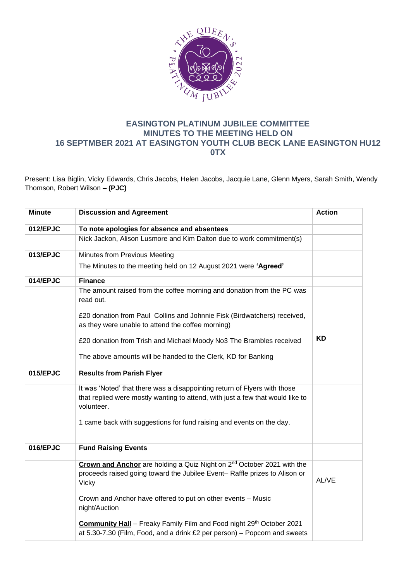

## **EASINGTON PLATINUM JUBILEE COMMITTEE MINUTES TO THE MEETING HELD ON 16 SEPTMBER 2021 AT EASINGTON YOUTH CLUB BECK LANE EASINGTON HU12 0TX**

Present: Lisa Biglin, Vicky Edwards, Chris Jacobs, Helen Jacobs, Jacquie Lane, Glenn Myers, Sarah Smith, Wendy Thomson, Robert Wilson – **(PJC)**

| <b>Minute</b> | <b>Discussion and Agreement</b>                                                                                                                                                  | <b>Action</b> |
|---------------|----------------------------------------------------------------------------------------------------------------------------------------------------------------------------------|---------------|
| 012/EPJC      | To note apologies for absence and absentees                                                                                                                                      |               |
|               | Nick Jackon, Alison Lusmore and Kim Dalton due to work commitment(s)                                                                                                             |               |
| 013/EPJC      | Minutes from Previous Meeting                                                                                                                                                    |               |
|               | The Minutes to the meeting held on 12 August 2021 were 'Agreed'                                                                                                                  |               |
| 014/EPJC      | <b>Finance</b>                                                                                                                                                                   |               |
|               | The amount raised from the coffee morning and donation from the PC was<br>read out.                                                                                              |               |
|               | £20 donation from Paul Collins and Johnnie Fisk (Birdwatchers) received,<br>as they were unable to attend the coffee morning)                                                    |               |
|               | £20 donation from Trish and Michael Moody No3 The Brambles received                                                                                                              | <b>KD</b>     |
|               | The above amounts will be handed to the Clerk, KD for Banking                                                                                                                    |               |
| 015/EPJC      | <b>Results from Parish Flyer</b>                                                                                                                                                 |               |
|               | It was 'Noted' that there was a disappointing return of Flyers with those<br>that replied were mostly wanting to attend, with just a few that would like to<br>volunteer.        |               |
|               | 1 came back with suggestions for fund raising and events on the day.                                                                                                             |               |
| 016/EPJC      | <b>Fund Raising Events</b>                                                                                                                                                       |               |
|               | Crown and Anchor are holding a Quiz Night on 2 <sup>nd</sup> October 2021 with the<br>proceeds raised going toward the Jubilee Event- Raffle prizes to Alison or<br><b>Vicky</b> | AL/VE         |
|               | Crown and Anchor have offered to put on other events - Music<br>night/Auction                                                                                                    |               |
|               | Community Hall - Freaky Family Film and Food night 29th October 2021<br>at 5.30-7.30 (Film, Food, and a drink £2 per person) - Popcorn and sweets                                |               |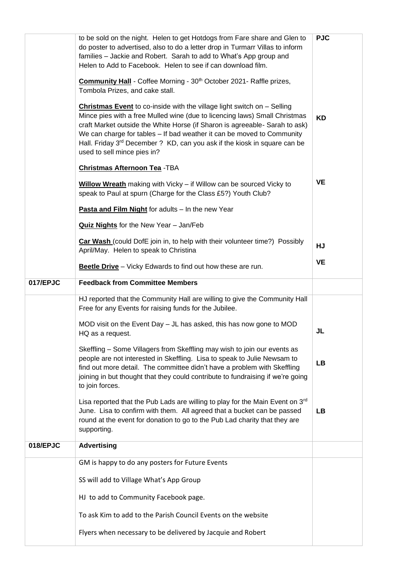|          | to be sold on the night. Helen to get Hotdogs from Fare share and Glen to<br>do poster to advertised, also to do a letter drop in Turmarr Villas to inform<br>families - Jackie and Robert. Sarah to add to What's App group and<br>Helen to Add to Facebook. Helen to see if can download film.<br><b>Community Hall</b> - Coffee Morning - 30 <sup>th</sup> October 2021 - Raffle prizes,<br>Tombola Prizes, and cake stall.                | <b>PJC</b> |
|----------|-----------------------------------------------------------------------------------------------------------------------------------------------------------------------------------------------------------------------------------------------------------------------------------------------------------------------------------------------------------------------------------------------------------------------------------------------|------------|
|          | <b>Christmas Event</b> to co-inside with the village light switch on - Selling<br>Mince pies with a free Mulled wine (due to licencing laws) Small Christmas<br>craft Market outside the White Horse (if Sharon is agreeable- Sarah to ask)<br>We can charge for tables - If bad weather it can be moved to Community<br>Hall. Friday 3 <sup>rd</sup> December ? KD, can you ask if the kiosk in square can be<br>used to sell mince pies in? | <b>KD</b>  |
|          | <b>Christmas Afternoon Tea - TBA</b>                                                                                                                                                                                                                                                                                                                                                                                                          |            |
|          | <b>Willow Wreath</b> making with Vicky – if Willow can be sourced Vicky to<br>speak to Paul at spurn (Charge for the Class £5?) Youth Club?                                                                                                                                                                                                                                                                                                   | <b>VE</b>  |
|          | Pasta and Film Night for adults - In the new Year                                                                                                                                                                                                                                                                                                                                                                                             |            |
|          | Quiz Nights for the New Year - Jan/Feb                                                                                                                                                                                                                                                                                                                                                                                                        |            |
|          | <b>Car Wash</b> (could DofE join in, to help with their volunteer time?) Possibly<br>April/May. Helen to speak to Christina                                                                                                                                                                                                                                                                                                                   | HJ         |
|          | Beetle Drive - Vicky Edwards to find out how these are run.                                                                                                                                                                                                                                                                                                                                                                                   | <b>VE</b>  |
| 017/EPJC | <b>Feedback from Committee Members</b>                                                                                                                                                                                                                                                                                                                                                                                                        |            |
|          | HJ reported that the Community Hall are willing to give the Community Hall<br>Free for any Events for raising funds for the Jubilee.                                                                                                                                                                                                                                                                                                          |            |
|          | MOD visit on the Event Day - JL has asked, this has now gone to MOD<br>HQ as a request.                                                                                                                                                                                                                                                                                                                                                       | JL         |
|          | Skeffling - Some Villagers from Skeffling may wish to join our events as<br>people are not interested in Skeffling. Lisa to speak to Julie Newsam to<br>find out more detail. The committee didn't have a problem with Skeffling<br>joining in but thought that they could contribute to fundraising if we're going<br>to join forces.                                                                                                        | <b>LB</b>  |
|          | Lisa reported that the Pub Lads are willing to play for the Main Event on 3rd<br>June. Lisa to confirm with them. All agreed that a bucket can be passed<br>round at the event for donation to go to the Pub Lad charity that they are<br>supporting.                                                                                                                                                                                         | <b>LB</b>  |
| 018/EPJC | <b>Advertising</b>                                                                                                                                                                                                                                                                                                                                                                                                                            |            |
|          | GM is happy to do any posters for Future Events                                                                                                                                                                                                                                                                                                                                                                                               |            |
|          | SS will add to Village What's App Group                                                                                                                                                                                                                                                                                                                                                                                                       |            |
|          | HJ to add to Community Facebook page.                                                                                                                                                                                                                                                                                                                                                                                                         |            |
|          | To ask Kim to add to the Parish Council Events on the website                                                                                                                                                                                                                                                                                                                                                                                 |            |
|          | Flyers when necessary to be delivered by Jacquie and Robert                                                                                                                                                                                                                                                                                                                                                                                   |            |